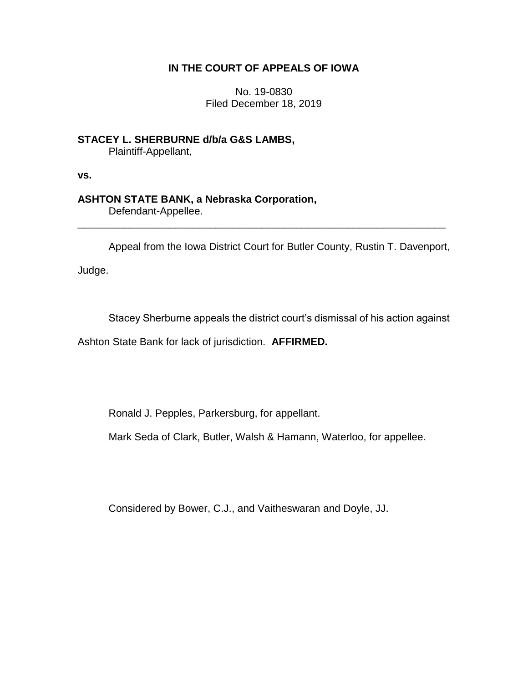## **IN THE COURT OF APPEALS OF IOWA**

No. 19-0830 Filed December 18, 2019

**STACEY L. SHERBURNE d/b/a G&S LAMBS,** Plaintiff-Appellant,

**vs.**

## **ASHTON STATE BANK, a Nebraska Corporation,**

Defendant-Appellee.

Appeal from the Iowa District Court for Butler County, Rustin T. Davenport,

\_\_\_\_\_\_\_\_\_\_\_\_\_\_\_\_\_\_\_\_\_\_\_\_\_\_\_\_\_\_\_\_\_\_\_\_\_\_\_\_\_\_\_\_\_\_\_\_\_\_\_\_\_\_\_\_\_\_\_\_\_\_\_\_

Judge.

Stacey Sherburne appeals the district court's dismissal of his action against

Ashton State Bank for lack of jurisdiction. **AFFIRMED.**

Ronald J. Pepples, Parkersburg, for appellant.

Mark Seda of Clark, Butler, Walsh & Hamann, Waterloo, for appellee.

Considered by Bower, C.J., and Vaitheswaran and Doyle, JJ.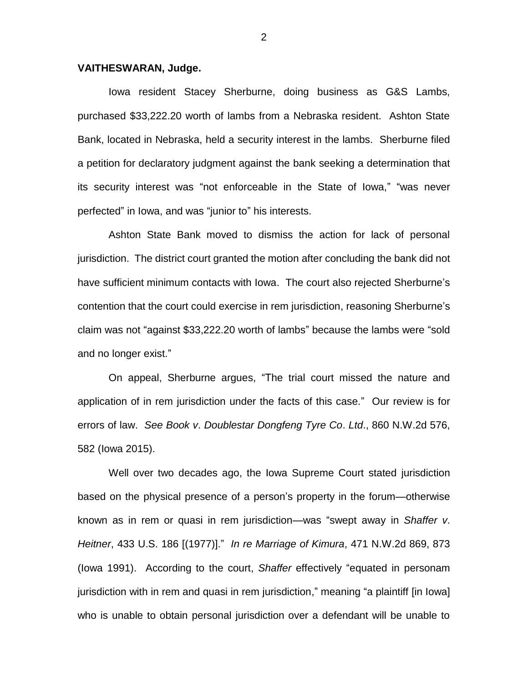## **VAITHESWARAN, Judge.**

Iowa resident Stacey Sherburne, doing business as G&S Lambs, purchased \$33,222.20 worth of lambs from a Nebraska resident. Ashton State Bank, located in Nebraska, held a security interest in the lambs. Sherburne filed a petition for declaratory judgment against the bank seeking a determination that its security interest was "not enforceable in the State of Iowa," "was never perfected" in Iowa, and was "junior to" his interests.

Ashton State Bank moved to dismiss the action for lack of personal jurisdiction. The district court granted the motion after concluding the bank did not have sufficient minimum contacts with Iowa. The court also rejected Sherburne's contention that the court could exercise in rem jurisdiction, reasoning Sherburne's claim was not "against \$33,222.20 worth of lambs" because the lambs were "sold and no longer exist."

On appeal, Sherburne argues, "The trial court missed the nature and application of in rem jurisdiction under the facts of this case." Our review is for errors of law. *See Book v*. *Doublestar Dongfeng Tyre Co*. *Ltd*., 860 N.W.2d 576, 582 (Iowa 2015).

Well over two decades ago, the Iowa Supreme Court stated jurisdiction based on the physical presence of a person's property in the forum—otherwise known as in rem or quasi in rem jurisdiction—was "swept away in *Shaffer v*. *Heitner*, 433 U.S. 186 [(1977)]." *In re Marriage of Kimura*, 471 N.W.2d 869, 873 (Iowa 1991). According to the court, *Shaffer* effectively "equated in personam jurisdiction with in rem and quasi in rem jurisdiction," meaning "a plaintiff [in Iowa] who is unable to obtain personal jurisdiction over a defendant will be unable to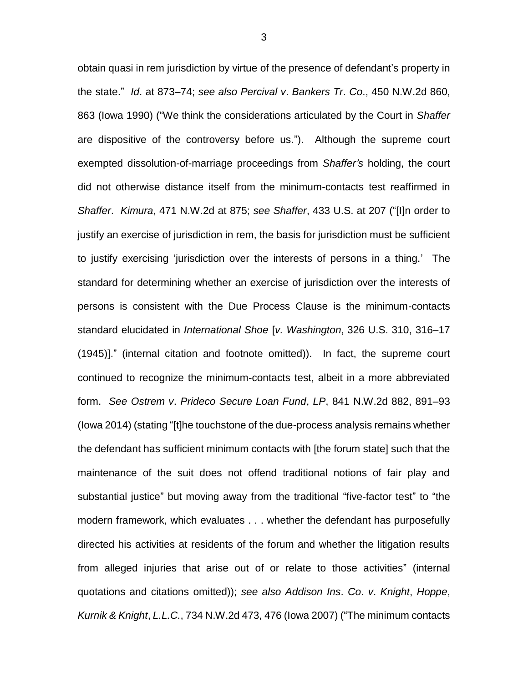obtain quasi in rem jurisdiction by virtue of the presence of defendant's property in the state." *Id*. at 873–74; *see also Percival v*. *Bankers Tr*. *Co*., 450 N.W.2d 860, 863 (Iowa 1990) ("We think the considerations articulated by the Court in *Shaffer* are dispositive of the controversy before us."). Although the supreme court exempted dissolution-of-marriage proceedings from *Shaffer's* holding, the court did not otherwise distance itself from the minimum-contacts test reaffirmed in *Shaffer*. *Kimura*, 471 N.W.2d at 875; *see Shaffer*, 433 U.S. at 207 ("[I]n order to justify an exercise of jurisdiction in rem, the basis for jurisdiction must be sufficient to justify exercising 'jurisdiction over the interests of persons in a thing.' The standard for determining whether an exercise of jurisdiction over the interests of persons is consistent with the Due Process Clause is the minimum-contacts standard elucidated in *International Shoe* [*v. Washington*, 326 U.S. 310, 316–17 (1945)]." (internal citation and footnote omitted)). In fact, the supreme court continued to recognize the minimum-contacts test, albeit in a more abbreviated form. *See Ostrem v*. *Prideco Secure Loan Fund*, *LP*, 841 N.W.2d 882, 891–93 (Iowa 2014) (stating "[t]he touchstone of the due-process analysis remains whether the defendant has sufficient minimum contacts with [the forum state] such that the maintenance of the suit does not offend traditional notions of fair play and substantial justice" but moving away from the traditional "five-factor test" to "the modern framework, which evaluates . . . whether the defendant has purposefully directed his activities at residents of the forum and whether the litigation results from alleged injuries that arise out of or relate to those activities" (internal quotations and citations omitted)); *see also Addison Ins*. *Co*. *v*. *Knight*, *Hoppe*, *Kurnik & Knight*, *L.L.C.*, 734 N.W.2d 473, 476 (Iowa 2007) ("The minimum contacts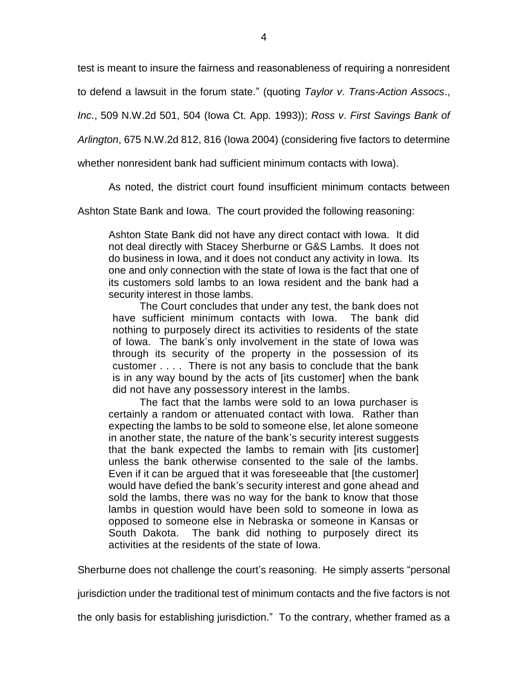test is meant to insure the fairness and reasonableness of requiring a nonresident

to defend a lawsuit in the forum state." (quoting *Taylor v*. *Trans-Action Assocs*.,

*Inc*., 509 N.W.2d 501, 504 (Iowa Ct. App. 1993)); *Ross v*. *First Savings Bank of* 

*Arlington*, 675 N.W.2d 812, 816 (Iowa 2004) (considering five factors to determine

whether nonresident bank had sufficient minimum contacts with Iowa).

As noted, the district court found insufficient minimum contacts between

Ashton State Bank and Iowa. The court provided the following reasoning:

Ashton State Bank did not have any direct contact with Iowa. It did not deal directly with Stacey Sherburne or G&S Lambs. It does not do business in Iowa, and it does not conduct any activity in Iowa. Its one and only connection with the state of Iowa is the fact that one of its customers sold lambs to an Iowa resident and the bank had a security interest in those lambs.

The Court concludes that under any test, the bank does not have sufficient minimum contacts with Iowa. The bank did nothing to purposely direct its activities to residents of the state of Iowa. The bank's only involvement in the state of Iowa was through its security of the property in the possession of its customer . . . . There is not any basis to conclude that the bank is in any way bound by the acts of [its customer] when the bank did not have any possessory interest in the lambs.

The fact that the lambs were sold to an Iowa purchaser is certainly a random or attenuated contact with Iowa. Rather than expecting the lambs to be sold to someone else, let alone someone in another state, the nature of the bank's security interest suggests that the bank expected the lambs to remain with [its customer] unless the bank otherwise consented to the sale of the lambs. Even if it can be argued that it was foreseeable that [the customer] would have defied the bank's security interest and gone ahead and sold the lambs, there was no way for the bank to know that those lambs in question would have been sold to someone in Iowa as opposed to someone else in Nebraska or someone in Kansas or South Dakota. The bank did nothing to purposely direct its activities at the residents of the state of Iowa.

Sherburne does not challenge the court's reasoning. He simply asserts "personal

jurisdiction under the traditional test of minimum contacts and the five factors is not

the only basis for establishing jurisdiction." To the contrary, whether framed as a